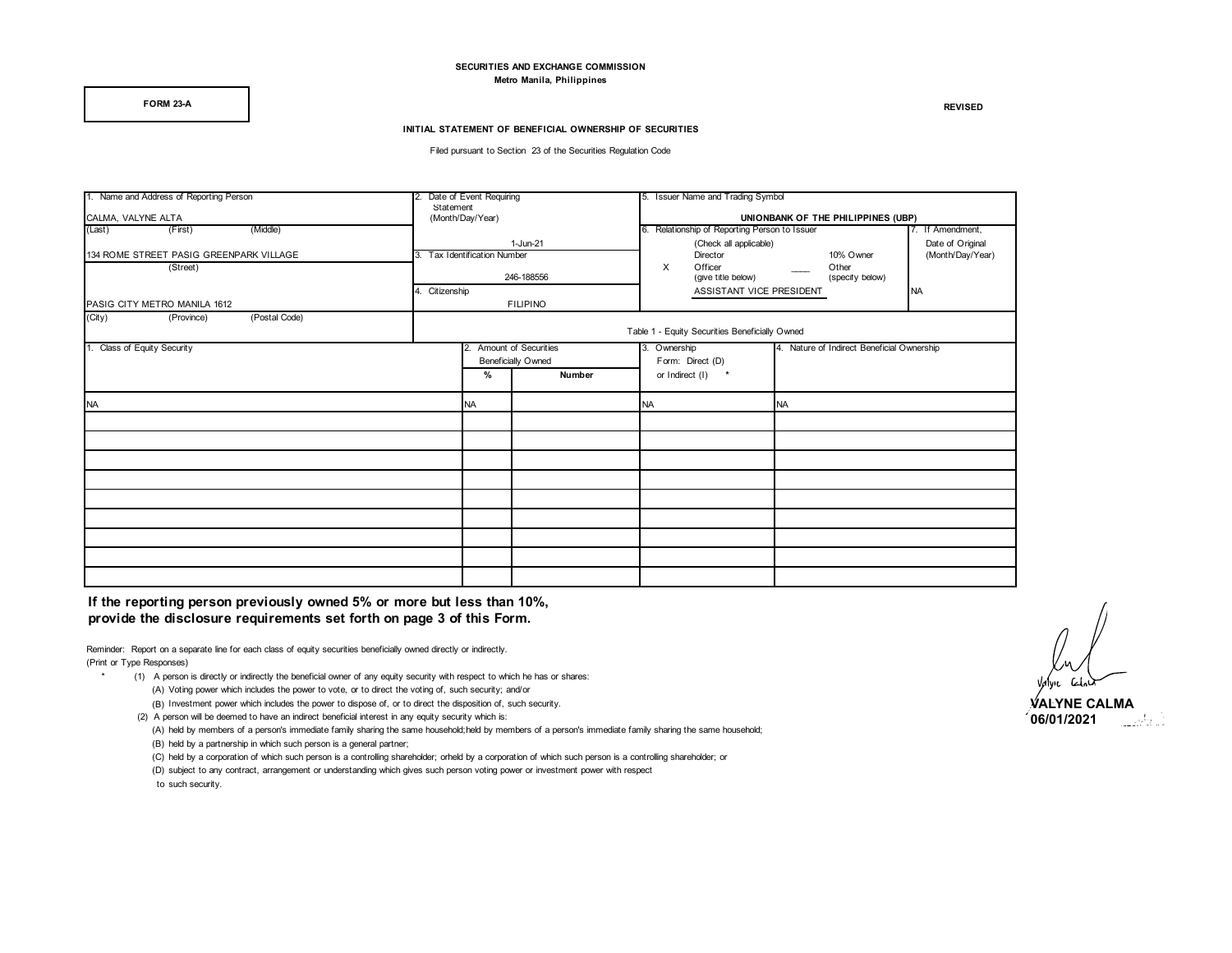#### **SECURITIES AND EXCHANGE COMMISSION Metro Manila, Philippines**

**FORM 23-A REVISED**

#### **INITIAL STATEMENT OF BENEFICIAL OWNERSHIP OF SECURITIES**

Filed pursuant to Section 23 of the Securities Regulation Code

| 1. Name and Address of Reporting Person |             | 2. Date of Event Requiring                           |                 | 5. Issuer Name and Trading Symbol |                                                |                                            |                 |                  |  |  |
|-----------------------------------------|-------------|------------------------------------------------------|-----------------|-----------------------------------|------------------------------------------------|--------------------------------------------|-----------------|------------------|--|--|
|                                         | Statement   |                                                      |                 |                                   |                                                |                                            |                 |                  |  |  |
| CALMA, VALYNE ALTA                      |             | (Month/Day/Year)                                     |                 |                                   | UNIONBANK OF THE PHILIPPINES (UBP)             |                                            |                 |                  |  |  |
| (Middle)<br>(First)<br>(Last)           |             |                                                      |                 |                                   | 6. Relationship of Reporting Person to Issuer  |                                            |                 | 7. If Amendment, |  |  |
|                                         |             |                                                      | 1-Jun-21        |                                   | (Check all applicable)                         |                                            |                 | Date of Original |  |  |
| 134 ROME STREET PASIG GREENPARK VILLAGE |             | 3. Tax Identification Number                         |                 |                                   | Director                                       |                                            | 10% Owner       | (Month/Day/Year) |  |  |
| (Street)                                |             |                                                      |                 | X                                 | Officer                                        |                                            | Other           |                  |  |  |
|                                         |             | 246-188556                                           |                 |                                   | (give title below)                             |                                            | (specify below) |                  |  |  |
|                                         | Citizenship |                                                      |                 |                                   | ASSISTANT VICE PRESIDENT                       |                                            |                 | <b>NA</b>        |  |  |
|                                         |             |                                                      |                 |                                   |                                                |                                            |                 |                  |  |  |
| PASIG CITY METRO MANILA 1612            |             |                                                      | <b>FILIPINO</b> |                                   |                                                |                                            |                 |                  |  |  |
| (City)<br>(Postal Code)<br>(Province)   |             |                                                      |                 |                                   |                                                |                                            |                 |                  |  |  |
|                                         |             |                                                      |                 |                                   | Table 1 - Equity Securities Beneficially Owned |                                            |                 |                  |  |  |
| 1. Class of Equity Security             |             | 2. Amount of Securities<br><b>Beneficially Owned</b> |                 | 3. Ownership<br>Form: Direct (D)  |                                                | 4. Nature of Indirect Beneficial Ownership |                 |                  |  |  |
|                                         |             |                                                      |                 |                                   |                                                |                                            |                 |                  |  |  |
|                                         |             |                                                      |                 |                                   |                                                |                                            |                 |                  |  |  |
| <b>NA</b>                               |             | <b>NA</b>                                            |                 | <b>NA</b>                         |                                                | <b>NA</b>                                  |                 |                  |  |  |
|                                         |             |                                                      |                 |                                   |                                                |                                            |                 |                  |  |  |
|                                         |             |                                                      |                 |                                   |                                                |                                            |                 |                  |  |  |
|                                         |             |                                                      |                 |                                   |                                                |                                            |                 |                  |  |  |
|                                         |             |                                                      |                 |                                   |                                                |                                            |                 |                  |  |  |
|                                         |             |                                                      |                 |                                   |                                                |                                            |                 |                  |  |  |
|                                         |             |                                                      |                 |                                   |                                                |                                            |                 |                  |  |  |
|                                         |             |                                                      |                 |                                   |                                                |                                            |                 |                  |  |  |
|                                         |             |                                                      |                 |                                   |                                                |                                            |                 |                  |  |  |
|                                         |             |                                                      |                 |                                   |                                                |                                            |                 |                  |  |  |

**If the reporting person previously owned 5% or more but less than 10%, provide the disclosure requirements set forth on page 3 of this Form.** 

Reminder: Report on a separate line for each class of equity securities beneficially owned directly or indirectly. (Print or Type Responses)

- (1) A person is directly or indirectly the beneficial owner of any equity security with respect to which he has or shares: (A) Voting power which includes the power to vote, or to direct the voting of, such security; and/or
	- (B) Investment power which includes the power to dispose of, or to direct the disposition of, such security.
	- (2) A person will be deemed to have an indirect beneficial interest in any equity security which is:
		- (A) held by members of a person's immediate family sharing the same household;held by members of a person's immediate family sharing the same household; (B) held by a partnership in which such person is a general partner;
	- (C) held by a corporation of which such person is a controlling shareholder; orheld by a corporation of which such person is a controlling shareholder; or
	- (D) subject to any contract, arrangement or understanding which gives such person voting power or investment power with respect to such security.

**VALYNE CALMA 06/01/2021**المواليات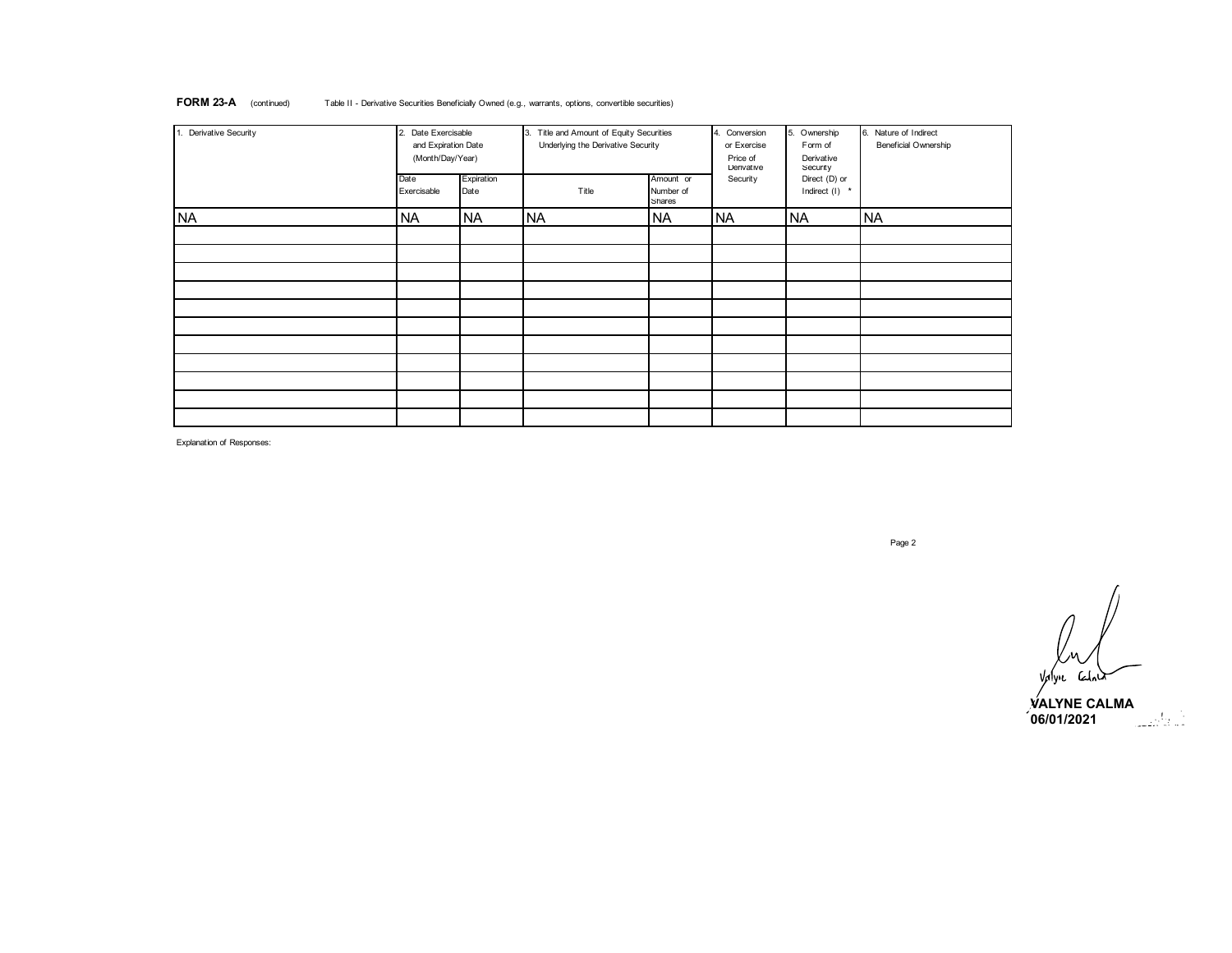| 1. Derivative Security | Date Exercisable<br>2.<br>and Expiration Date<br>(Month/Day/Year) |                    | 3. Title and Amount of Equity Securities<br>Underlying the Derivative Security |                                  | 4. Conversion<br>or Exercise<br>Price of<br>Derivative | 5. Ownership<br>Form of<br>Derivative<br>Security | 6. Nature of Indirect<br>Beneficial Ownership |
|------------------------|-------------------------------------------------------------------|--------------------|--------------------------------------------------------------------------------|----------------------------------|--------------------------------------------------------|---------------------------------------------------|-----------------------------------------------|
|                        | Date<br>Exercisable                                               | Expiration<br>Date | Title                                                                          | Amount or<br>Number of<br>Shares | Security                                               | Direct (D) or<br>Indirect (I) *                   |                                               |
| <b>NA</b>              | <b>NA</b>                                                         | <b>NA</b>          | <b>NA</b>                                                                      | <b>NA</b>                        | <b>NA</b>                                              | <b>NA</b>                                         | <b>NA</b>                                     |
|                        |                                                                   |                    |                                                                                |                                  |                                                        |                                                   |                                               |
|                        |                                                                   |                    |                                                                                |                                  |                                                        |                                                   |                                               |
|                        |                                                                   |                    |                                                                                |                                  |                                                        |                                                   |                                               |
|                        |                                                                   |                    |                                                                                |                                  |                                                        |                                                   |                                               |
|                        |                                                                   |                    |                                                                                |                                  |                                                        |                                                   |                                               |

#### **FORM 23-A** (continued) Table II - Derivative Securities Beneficially Owned (e.g., warrants, options, convertible securities)

Explanation of Responses:

Page 2

 $\overline{a}$ Valyne Calner<br>Valyne Calner

**VALYNE CALMA**<br>06/01/2021 **06/01/2021**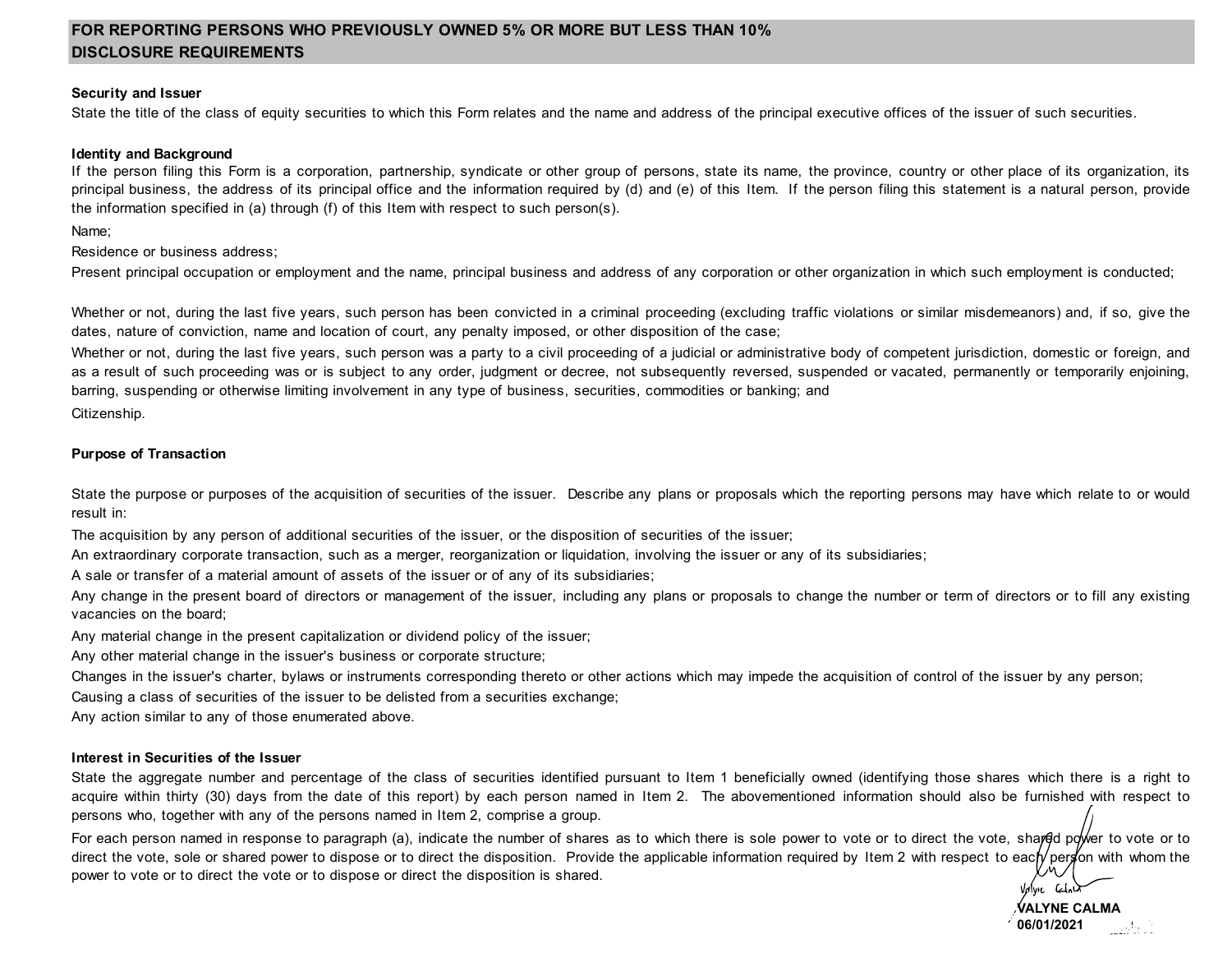# **FOR REPORTING PERSONS WHO PREVIOUSLY OWNED 5% OR MORE BUT LESS THAN 10% DISCLOSURE REQUIREMENTS**

## **Security and Issuer**

State the title of the class of equity securities to which this Form relates and the name and address of the principal executive offices of the issuer of such securities.

### **Identity and Background**

If the person filing this Form is a corporation, partnership, syndicate or other group of persons, state its name, the province, country or other place of its organization, its principal business, the address of its principal office and the information required by (d) and (e) of this Item. If the person filing this statement is a natural person, provide the information specified in (a) through (f) of this Item with respect to such person(s).

Name;

Residence or business address;

Present principal occupation or employment and the name, principal business and address of any corporation or other organization in which such employment is conducted;

Whether or not, during the last five years, such person has been convicted in a criminal proceeding (excluding traffic violations or similar misdemeanors) and, if so, give the dates, nature of conviction, name and location of court, any penalty imposed, or other disposition of the case;

Whether or not, during the last five years, such person was a party to a civil proceeding of a judicial or administrative body of competent jurisdiction, domestic or foreign, and as a result of such proceeding was or is subject to any order, judgment or decree, not subsequently reversed, suspended or vacated, permanently or temporarily enjoining, barring, suspending or otherwise limiting involvement in any type of business, securities, commodities or banking; and

Citizenship.

## **Purpose of Transaction**

State the purpose or purposes of the acquisition of securities of the issuer. Describe any plans or proposals which the reporting persons may have which relate to or would result in:

The acquisition by any person of additional securities of the issuer, or the disposition of securities of the issuer;

An extraordinary corporate transaction, such as a merger, reorganization or liquidation, involving the issuer or any of its subsidiaries;

A sale or transfer of a material amount of assets of the issuer or of any of its subsidiaries;

Any change in the present board of directors or management of the issuer, including any plans or proposals to change the number or term of directors or to fill any existing vacancies on the board;

Any material change in the present capitalization or dividend policy of the issuer;

Any other material change in the issuer's business or corporate structure;

Changes in the issuer's charter, bylaws or instruments corresponding thereto or other actions which may impede the acquisition of control of the issuer by any person;

Causing a class of securities of the issuer to be delisted from a securities exchange;

Any action similar to any of those enumerated above.

## **Interest in Securities of the Issuer**

State the aggregate number and percentage of the class of securities identified pursuant to Item 1 beneficially owned (identifying those shares which there is a right to acquire within thirty (30) days from the date of this report) by each person named in Item 2. The abovementioned information should also be furnished with respect to persons who, together with any of the persons named in Item 2, comprise a group.

For each person named in response to paragraph (a), indicate the number of shares as to which there is sole power to vote or to direct the vote, shared power to vote or to direct the vote, sole or shared power to dispose or to direct the disposition. Provide the applicable information required by Item 2 with respect to each person with whom the power to vote or to direct the vote or to dispose or direct the disposition is shared.

Valvie Codn **VALYNE CALMA 06/01/2021**الأراطين